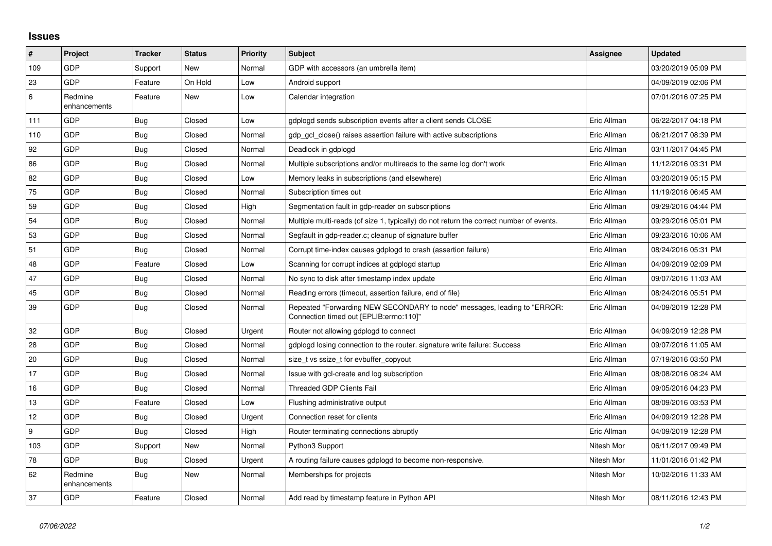## **Issues**

| $\sharp$ | Project                 | <b>Tracker</b> | <b>Status</b> | <b>Priority</b> | <b>Subject</b>                                                                                                      | Assignee    | <b>Updated</b>      |
|----------|-------------------------|----------------|---------------|-----------------|---------------------------------------------------------------------------------------------------------------------|-------------|---------------------|
| 109      | GDP                     | Support        | New           | Normal          | GDP with accessors (an umbrella item)                                                                               |             | 03/20/2019 05:09 PM |
| 23       | <b>GDP</b>              | Feature        | On Hold       | Low             | Android support                                                                                                     |             | 04/09/2019 02:06 PM |
| 6        | Redmine<br>enhancements | Feature        | New           | Low             | Calendar integration                                                                                                |             | 07/01/2016 07:25 PM |
| 111      | GDP                     | Bug            | Closed        | Low             | gdplogd sends subscription events after a client sends CLOSE                                                        | Eric Allman | 06/22/2017 04:18 PM |
| 110      | <b>GDP</b>              | Bug            | Closed        | Normal          | gdp gcl close() raises assertion failure with active subscriptions                                                  | Eric Allman | 06/21/2017 08:39 PM |
| 92       | GDP                     | <b>Bug</b>     | Closed        | Normal          | Deadlock in gdplogd                                                                                                 | Eric Allman | 03/11/2017 04:45 PM |
| 86       | GDP                     | Bug            | Closed        | Normal          | Multiple subscriptions and/or multireads to the same log don't work                                                 | Eric Allman | 11/12/2016 03:31 PM |
| 82       | <b>GDP</b>              | <b>Bug</b>     | Closed        | Low             | Memory leaks in subscriptions (and elsewhere)                                                                       | Eric Allman | 03/20/2019 05:15 PM |
| 75       | GDP                     | <b>Bug</b>     | Closed        | Normal          | Subscription times out                                                                                              | Eric Allman | 11/19/2016 06:45 AM |
| 59       | GDP                     | Bug            | Closed        | High            | Segmentation fault in gdp-reader on subscriptions                                                                   | Eric Allman | 09/29/2016 04:44 PM |
| 54       | <b>GDP</b>              | <b>Bug</b>     | Closed        | Normal          | Multiple multi-reads (of size 1, typically) do not return the correct number of events.                             | Eric Allman | 09/29/2016 05:01 PM |
| 53       | GDP                     | Bug            | Closed        | Normal          | Segfault in gdp-reader.c; cleanup of signature buffer                                                               | Eric Allman | 09/23/2016 10:06 AM |
| 51       | GDP                     | Bug            | Closed        | Normal          | Corrupt time-index causes gdplogd to crash (assertion failure)                                                      | Eric Allman | 08/24/2016 05:31 PM |
| 48       | GDP                     | Feature        | Closed        | Low             | Scanning for corrupt indices at gdplogd startup                                                                     | Eric Allman | 04/09/2019 02:09 PM |
| 47       | GDP                     | Bug            | Closed        | Normal          | No sync to disk after timestamp index update                                                                        | Eric Allman | 09/07/2016 11:03 AM |
| 45       | GDP                     | Bug            | Closed        | Normal          | Reading errors (timeout, assertion failure, end of file)                                                            | Eric Allman | 08/24/2016 05:51 PM |
| 39       | GDP                     | Bug            | Closed        | Normal          | Repeated "Forwarding NEW SECONDARY to node" messages, leading to "ERROR:<br>Connection timed out [EPLIB:errno:110]" | Eric Allman | 04/09/2019 12:28 PM |
| 32       | <b>GDP</b>              | <b>Bug</b>     | Closed        | Urgent          | Router not allowing gdplogd to connect                                                                              | Eric Allman | 04/09/2019 12:28 PM |
| 28       | GDP                     | <b>Bug</b>     | Closed        | Normal          | gdplogd losing connection to the router, signature write failure: Success                                           | Eric Allman | 09/07/2016 11:05 AM |
| 20       | GDP                     | Bug            | Closed        | Normal          | size t vs ssize t for evbuffer copyout                                                                              | Eric Allman | 07/19/2016 03:50 PM |
| 17       | <b>GDP</b>              | Bug            | Closed        | Normal          | Issue with gcl-create and log subscription                                                                          | Eric Allman | 08/08/2016 08:24 AM |
| 16       | GDP                     | <b>Bug</b>     | Closed        | Normal          | <b>Threaded GDP Clients Fail</b>                                                                                    | Eric Allman | 09/05/2016 04:23 PM |
| 13       | GDP                     | Feature        | Closed        | Low             | Flushing administrative output                                                                                      | Eric Allman | 08/09/2016 03:53 PM |
| 12       | <b>GDP</b>              | Bug            | Closed        | Urgent          | Connection reset for clients                                                                                        | Eric Allman | 04/09/2019 12:28 PM |
| 9        | GDP                     | Bug            | Closed        | High            | Router terminating connections abruptly                                                                             | Eric Allman | 04/09/2019 12:28 PM |
| 103      | GDP                     | Support        | New           | Normal          | Python3 Support                                                                                                     | Nitesh Mor  | 06/11/2017 09:49 PM |
| 78       | <b>GDP</b>              | Bug            | Closed        | Urgent          | A routing failure causes gdplogd to become non-responsive.                                                          | Nitesh Mor  | 11/01/2016 01:42 PM |
| 62       | Redmine<br>enhancements | Bug            | New           | Normal          | Memberships for projects                                                                                            | Nitesh Mor  | 10/02/2016 11:33 AM |
| 37       | GDP                     | Feature        | Closed        | Normal          | Add read by timestamp feature in Python API                                                                         | Nitesh Mor  | 08/11/2016 12:43 PM |